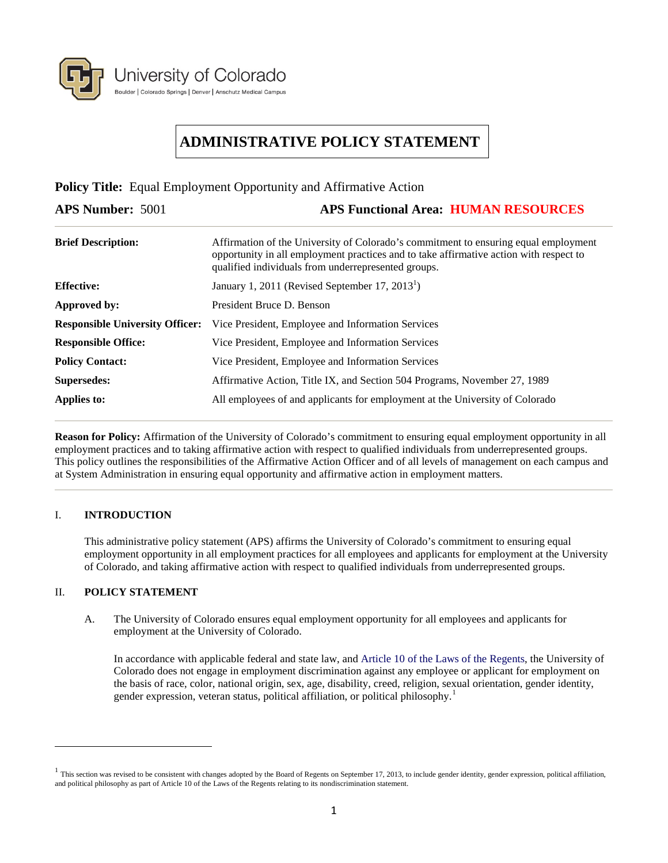

# **ADMINISTRATIVE POLICY STATEMENT**

**Policy Title:** Equal Employment Opportunity and Affirmative Action

**APS Number:** 5001 **APS Functional Area: HUMAN RESOURCES Brief Description:** Affirmation of the University of Colorado's commitment to ensuring equal employment opportunity in all employment practices and to take affirmative action with respect to qualified individuals from underrepresented groups. **Effective:** January 1, 2011 (Revised September 17, 2013<sup>1</sup>) **Approved by:** President Bruce D. Benson **Responsible University Officer:** Vice President, Employee and Information Services **Responsible Office:** Vice President, Employee and Information Services **Policy Contact:** Vice President, Employee and Information Services **Supersedes:** Affirmative Action, Title IX, and Section 504 Programs, November 27, 1989 **Applies to:** All employees of and applicants for employment at the University of Colorado

**Reason for Policy:** Affirmation of the University of Colorado's commitment to ensuring equal employment opportunity in all employment practices and to taking affirmative action with respect to qualified individuals from underrepresented groups. This policy outlines the responsibilities of the Affirmative Action Officer and of all levels of management on each campus and at System Administration in ensuring equal opportunity and affirmative action in employment matters.

# I. **INTRODUCTION**

This administrative policy statement (APS) affirms the University of Colorado's commitment to ensuring equal employment opportunity in all employment practices for all employees and applicants for employment at the University of Colorado, and taking affirmative action with respect to qualified individuals from underrepresented groups.

# II. **POLICY STATEMENT**

 $\overline{a}$ 

A. The University of Colorado ensures equal employment opportunity for all employees and applicants for employment at the University of Colorado.

In accordance with applicable federal and state law, and [Article 10 of the Laws of the Regents,](https://www.cu.edu/regents/Laws/article-10.html) the University of Colorado does not engage in employment discrimination against any employee or applicant for employment on the basis of race, color, national origin, sex, age, disability, creed, religion, sexual orientation, gender identity, gender expression, veteran status, political affiliation, or political philosophy. [1](#page-0-0)

<span id="page-0-0"></span> $1$  This section was revised to be consistent with changes adopted by the Board of Regents on September 17, 2013, to include gender identity, gender expression, political affiliation, and political philosophy as part of Article 10 of the Laws of the Regents relating to its nondiscrimination statement.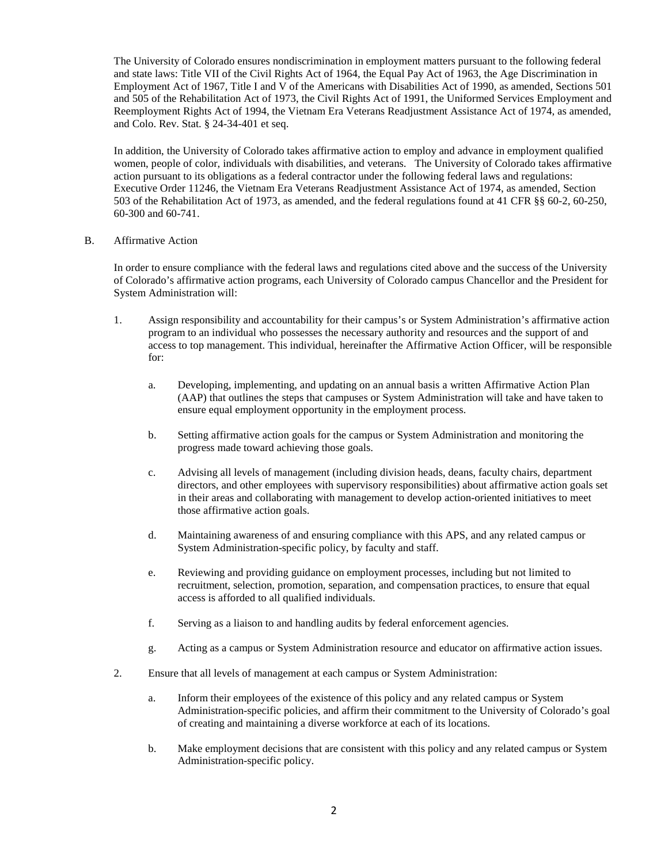The University of Colorado ensures nondiscrimination in employment matters pursuant to the following federal and state laws: Title VII of the Civil Rights Act of 1964, the Equal Pay Act of 1963, the Age Discrimination in Employment Act of 1967, Title I and V of the Americans with Disabilities Act of 1990, as amended, Sections 501 and 505 of the Rehabilitation Act of 1973, the Civil Rights Act of 1991, the Uniformed Services Employment and Reemployment Rights Act of 1994, the Vietnam Era Veterans Readjustment Assistance Act of 1974, as amended, and Colo. Rev. Stat. § 24-34-401 et seq.

In addition, the University of Colorado takes affirmative action to employ and advance in employment qualified women, people of color, individuals with disabilities, and veterans. The University of Colorado takes affirmative action pursuant to its obligations as a federal contractor under the following federal laws and regulations: Executive Order 11246, the Vietnam Era Veterans Readjustment Assistance Act of 1974, as amended, Section 503 of the Rehabilitation Act of 1973, as amended, and the federal regulations found at 41 CFR §§ 60-2, 60-250, 60-300 and 60-741.

B. Affirmative Action

In order to ensure compliance with the federal laws and regulations cited above and the success of the University of Colorado's affirmative action programs, each University of Colorado campus Chancellor and the President for System Administration will:

- 1. Assign responsibility and accountability for their campus's or System Administration's affirmative action program to an individual who possesses the necessary authority and resources and the support of and access to top management. This individual, hereinafter the Affirmative Action Officer, will be responsible for:
	- a. Developing, implementing, and updating on an annual basis a written Affirmative Action Plan (AAP) that outlines the steps that campuses or System Administration will take and have taken to ensure equal employment opportunity in the employment process.
	- b. Setting affirmative action goals for the campus or System Administration and monitoring the progress made toward achieving those goals.
	- c. Advising all levels of management (including division heads, deans, faculty chairs, department directors, and other employees with supervisory responsibilities) about affirmative action goals set in their areas and collaborating with management to develop action-oriented initiatives to meet those affirmative action goals.
	- d. Maintaining awareness of and ensuring compliance with this APS, and any related campus or System Administration-specific policy, by faculty and staff.
	- e. Reviewing and providing guidance on employment processes, including but not limited to recruitment, selection, promotion, separation, and compensation practices, to ensure that equal access is afforded to all qualified individuals.
	- f. Serving as a liaison to and handling audits by federal enforcement agencies.
	- g. Acting as a campus or System Administration resource and educator on affirmative action issues.
- 2. Ensure that all levels of management at each campus or System Administration:
	- a. Inform their employees of the existence of this policy and any related campus or System Administration-specific policies, and affirm their commitment to the University of Colorado's goal of creating and maintaining a diverse workforce at each of its locations.
	- b. Make employment decisions that are consistent with this policy and any related campus or System Administration-specific policy.